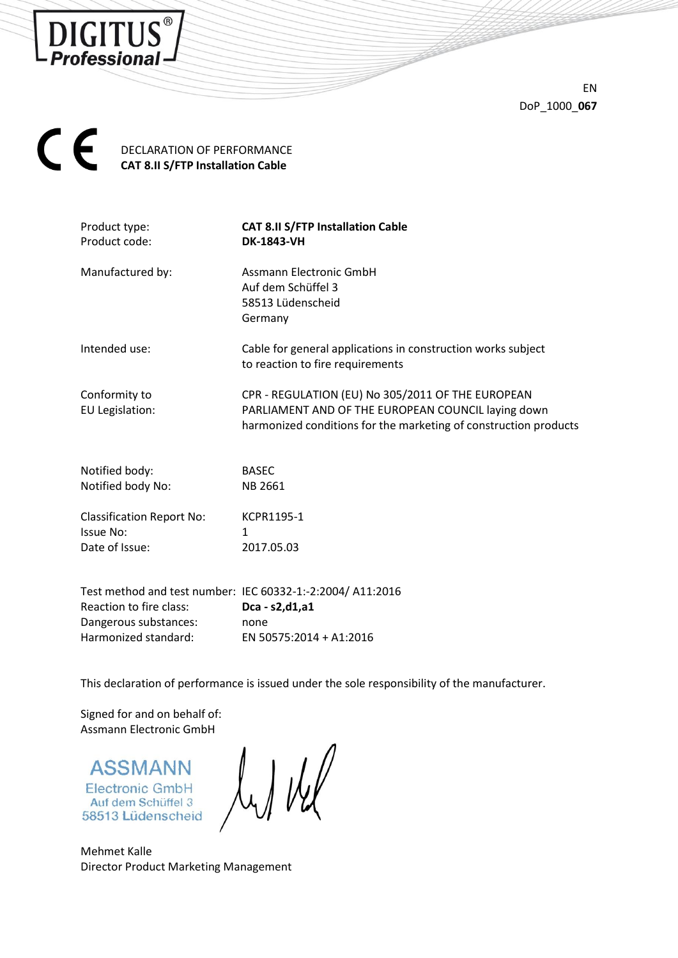

EN DoP\_1000\_**067**



| Product type:<br>Product code:                                  | <b>CAT 8.II S/FTP Installation Cable</b><br><b>DK-1843-VH</b>                                                                                                               |
|-----------------------------------------------------------------|-----------------------------------------------------------------------------------------------------------------------------------------------------------------------------|
| Manufactured by:                                                | Assmann Electronic GmbH<br>Auf dem Schüffel 3<br>58513 Lüdenscheid<br>Germany                                                                                               |
| Intended use:                                                   | Cable for general applications in construction works subject<br>to reaction to fire requirements                                                                            |
| Conformity to<br>EU Legislation:                                | CPR - REGULATION (EU) No 305/2011 OF THE EUROPEAN<br>PARLIAMENT AND OF THE EUROPEAN COUNCIL laying down<br>harmonized conditions for the marketing of construction products |
| Notified body:                                                  | <b>BASEC</b>                                                                                                                                                                |
| Notified body No:                                               | NB 2661                                                                                                                                                                     |
| <b>Classification Report No:</b><br>Issue No:<br>Date of Issue: | KCPR1195-1<br>1<br>2017.05.03                                                                                                                                               |
|                                                                 |                                                                                                                                                                             |

Test method and test number: IEC 60332-1:-2:2004/ A11:2016 Reaction to fire class: **Dca - s2,d1,a1** Dangerous substances: none Harmonized standard: EN 50575:2014 + A1:2016

This declaration of performance is issued under the sole responsibility of the manufacturer.

Signed for and on behalf of: Assmann Electronic GmbH

**ASSMANN Electronic GmbH** Auf dem Schüffel 3 58513 Lüdenscheid

Mehmet Kalle Director Product Marketing Management